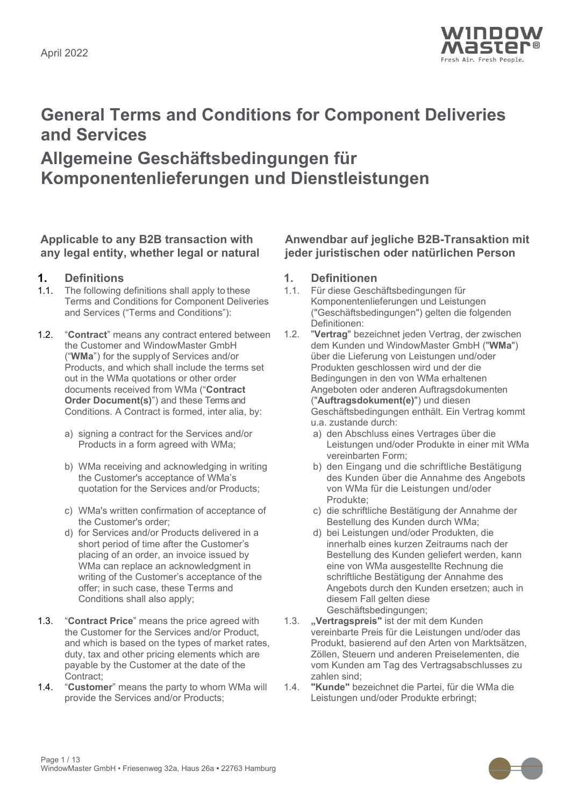

# **General Terms and Conditions for Component Deliveries and Services**

## **Allgemeine Geschäftsbedingungen für Komponentenlieferungen und Dienstleistungen**

### **Applicable to any B2B transaction with any legal entity, whether legal or natural**

- **1. Definitions 1. Definitionen** The following definitions shall apply to these Terms and Conditions for Component Deliveries and Services ("Terms and Conditions"):
- 1.2. "**Contract**" means any contract entered between the Customer and WindowMaster GmbH ("**WMa**") for the supply of Services and/or Products, and which shall include the terms set out in the WMa quotations or other order documents received from WMa ("**Contract Order Document(s)**") and these Terms and Conditions. A Contract is formed, inter alia, by:
	- a) signing a contract for the Services and/or Products in a form agreed with WMa;
	- b) WMa receiving and acknowledging in writing the Customer's acceptance of WMa's quotation for the Services and/or Products;
	- c) WMa's written confirmation of acceptance of the Customer's order;
	- d) for Services and/or Products delivered in a short period of time after the Customer's placing of an order, an invoice issued by WMa can replace an acknowledgment in writing of the Customer's acceptance of the offer; in such case, these Terms and Conditions shall also apply;
- 1.3. "**Contract Price**" means the price agreed with the Customer for the Services and/or Product, and which is based on the types of market rates, duty, tax and other pricing elements which are payable by the Customer at the date of the Contract;
- 1.4. "**Customer**" means the party to whom WMa will provide the Services and/or Products;

### **Anwendbar auf jegliche B2B-Transaktion mit jeder juristischen oder natürlichen Person**

- 1.1. Für diese Geschäftsbedingungen für Komponentenlieferungen und Leistungen ("Geschäftsbedingungen") gelten die folgenden Definitionen:
- 1.2. "**Vertrag**" bezeichnet jeden Vertrag, der zwischen dem Kunden und WindowMaster GmbH ("**WMa**") über die Lieferung von Leistungen und/oder Produkten geschlossen wird und der die Bedingungen in den von WMa erhaltenen Angeboten oder anderen Auftragsdokumenten ("**Auftragsdokument(e)**") und diesen Geschäftsbedingungen enthält. Ein Vertrag kommt u.a. zustande durch:
	- a) den Abschluss eines Vertrages über die Leistungen und/oder Produkte in einer mit WMa vereinbarten Form;
	- b) den Eingang und die schriftliche Bestätigung des Kunden über die Annahme des Angebots von WMa für die Leistungen und/oder Produkte;
	- c) die schriftliche Bestätigung der Annahme der Bestellung des Kunden durch WMa;
	- d) bei Leistungen und/oder Produkten, die innerhalb eines kurzen Zeitraums nach der Bestellung des Kunden geliefert werden, kann eine von WMa ausgestellte Rechnung die schriftliche Bestätigung der Annahme des Angebots durch den Kunden ersetzen; auch in diesem Fall gelten diese Geschäftsbedingungen;
- 1.3. **"Vertragspreis"** ist der mit dem Kunden vereinbarte Preis für die Leistungen und/oder das Produkt, basierend auf den Arten von Marktsätzen, Zöllen, Steuern und anderen Preiselementen, die vom Kunden am Tag des Vertragsabschlusses zu zahlen sind;
- 1.4. **"Kunde"** bezeichnet die Partei, für die WMa die Leistungen und/oder Produkte erbringt;

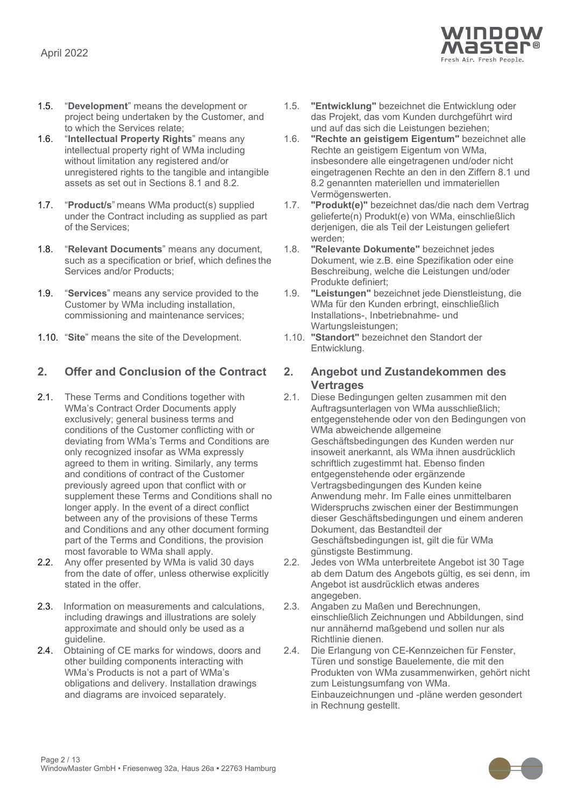

- 1.5. "**Development**" means the development or project being undertaken by the Customer, and to which the Services relate;
- 1.6. "**Intellectual Property Rights**" means any intellectual property right of WMa including without limitation any registered and/or unregistered rights to the tangible and intangible assets as set out in Sections [8.1](#page-6-0) and [8.2.](#page-6-1)
- 1.7. "**Product/s**" means WMa product(s) supplied under the Contract including as supplied as part of the Services;
- 1.8. "**Relevant Documents**" means any document, such as a specification or brief, which defines the Services and/or Products;
- 1.9. "**Services**" means any service provided to the Customer by WMa including installation, commissioning and maintenance services;
- 1.10. "**Site**" means the site of the Development. 1.10. **"Standort"** bezeichnet den Standort der

### **2. Offer and Conclusion of the Contract 2. Angebot und Zustandekommen des**

- 2.1. These Terms and Conditions together with WMa's Contract Order Documents apply exclusively; general business terms and conditions of the Customer conflicting with or deviating from WMa's Terms and Conditions are only recognized insofar as WMa expressly agreed to them in writing. Similarly, any terms and conditions of contract of the Customer previously agreed upon that conflict with or supplement these Terms and Conditions shall no longer apply. In the event of a direct conflict between any of the provisions of these Terms and Conditions and any other document forming part of the Terms and Conditions, the provision most favorable to WMa shall apply.
- 2.2. Any offer presented by WMa is valid 30 days from the date of offer, unless otherwise explicitly stated in the offer.
- 2.3. Information on measurements and calculations, including drawings and illustrations are solely approximate and should only be used as a guideline.
- 2.4. Obtaining of CE marks for windows, doors and other building components interacting with WMa's Products is not a part of WMa's obligations and delivery. Installation drawings and diagrams are invoiced separately.
- 1.5. **"Entwicklung"** bezeichnet die Entwicklung oder das Projekt, das vom Kunden durchgeführt wird und auf das sich die Leistungen beziehen;
- 1.6. **"Rechte an geistigem Eigentum"** bezeichnet alle Rechte an geistigem Eigentum von WMa, insbesondere alle eingetragenen und/oder nicht eingetragenen Rechte an den in den Ziffern 8.1 und 8.2 genannten materiellen und immateriellen Vermögenswerten.
- 1.7. **"Produkt(e)"** bezeichnet das/die nach dem Vertrag gelieferte(n) Produkt(e) von WMa, einschließlich derjenigen, die als Teil der Leistungen geliefert werden;
- 1.8. **"Relevante Dokumente"** bezeichnet jedes Dokument, wie z.B. eine Spezifikation oder eine Beschreibung, welche die Leistungen und/oder Produkte definiert;
- 1.9. **"Leistungen"** bezeichnet jede Dienstleistung, die WMa für den Kunden erbringt, einschließlich Installations-, Inbetriebnahme- und Wartungsleistungen;
- Entwicklung.

# **Vertrages**

- 2.1. Diese Bedingungen gelten zusammen mit den Auftragsunterlagen von WMa ausschließlich; entgegenstehende oder von den Bedingungen von WMa abweichende allgemeine Geschäftsbedingungen des Kunden werden nur insoweit anerkannt, als WMa ihnen ausdrücklich schriftlich zugestimmt hat. Ebenso finden entgegenstehende oder ergänzende Vertragsbedingungen des Kunden keine Anwendung mehr. Im Falle eines unmittelbaren Widerspruchs zwischen einer der Bestimmungen dieser Geschäftsbedingungen und einem anderen Dokument, das Bestandteil der Geschäftsbedingungen ist, gilt die für WMa günstigste Bestimmung.
- 2.2. Jedes von WMa unterbreitete Angebot ist 30 Tage ab dem Datum des Angebots gültig, es sei denn, im Angebot ist ausdrücklich etwas anderes angegeben.
- 2.3. Angaben zu Maßen und Berechnungen, einschließlich Zeichnungen und Abbildungen, sind nur annähernd maßgebend und sollen nur als Richtlinie dienen.
- 2.4. Die Erlangung von CE-Kennzeichen für Fenster, Türen und sonstige Bauelemente, die mit den Produkten von WMa zusammenwirken, gehört nicht zum Leistungsumfang von WMa. Einbauzeichnungen und -pläne werden gesondert in Rechnung gestellt.

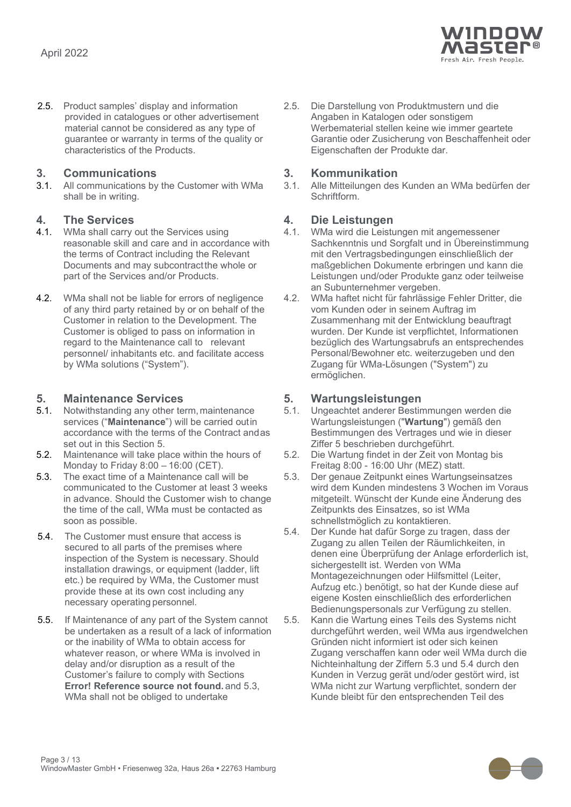

2.5. Product samples' display and information provided in catalogues or other advertisement material cannot be considered as any type of guarantee or warranty in terms of the quality or characteristics of the Products.

**3. Communications 3. Kommunikation** All communications by the Customer with WMa shall be in writing.

- **4. The Services 4. Die Leistungen** WMa shall carry out the Services using reasonable skill and care and in accordance with the terms of Contract including the Relevant Documents and may subcontractthe whole or part of the Services and/or Products.
- 4.2. WMa shall not be liable for errors of negligence of any third party retained by or on behalf of the Customer in relation to the Development. The Customer is obliged to pass on information in regard to the Maintenance call to relevant personnel/ inhabitants etc. and facilitate access by WMa solutions ("System").

- <span id="page-2-0"></span>**5. Maintenance Services 5. Wartungsleistungen** Notwithstanding any other term, maintenance services ("**Maintenance**") will be carried outin accordance with the terms of the Contract andas set out in this Section [5.](#page-2-0)
- 5.2. Maintenance will take place within the hours of Monday to Friday 8:00 – 16:00 (CET).
- 5.3. The exact time of a Maintenance call will be communicated to the Customer at least 3 weeks in advance. Should the Customer wish to change the time of the call, WMa must be contacted as soon as possible.
- <span id="page-2-1"></span>5.4. The Customer must ensure that access is secured to all parts of the premises where inspection of the System is necessary. Should installation drawings, or equipment (ladder, lift etc.) be required by WMa, the Customer must provide these at its own cost including any necessary operating personnel.
- 5.5. If Maintenance of any part of the System cannot be undertaken as a result of a lack of information or the inability of WMa to obtain access for whatever reason, or where WMa is involved in delay and/or disruption as a result of the Customer's failure to comply with Sections **Error! Reference source not found.** and [5.3,](#page-2-1) WMa shall not be obliged to undertake

2.5. Die Darstellung von Produktmustern und die Angaben in Katalogen oder sonstigem Werbematerial stellen keine wie immer geartete Garantie oder Zusicherung von Beschaffenheit oder Eigenschaften der Produkte dar.

3.1. Alle Mitteilungen des Kunden an WMa bedürfen der Schriftform.

- 4.1. WMa wird die Leistungen mit angemessener Sachkenntnis und Sorgfalt und in Übereinstimmung mit den Vertragsbedingungen einschließlich der maßgeblichen Dokumente erbringen und kann die Leistungen und/oder Produkte ganz oder teilweise an Subunternehmer vergeben.
- 4.2. WMa haftet nicht für fahrlässige Fehler Dritter, die vom Kunden oder in seinem Auftrag im Zusammenhang mit der Entwicklung beauftragt wurden. Der Kunde ist verpflichtet, Informationen bezüglich des Wartungsabrufs an entsprechendes Personal/Bewohner etc. weiterzugeben und den Zugang für WMa-Lösungen ("System") zu ermöglichen.

- 5.1. Ungeachtet anderer Bestimmungen werden die Wartungsleistungen ("**Wartung**") gemäß den Bestimmungen des Vertrages und wie in dieser Ziffer 5 beschrieben durchgeführt.
- 5.2. Die Wartung findet in der Zeit von Montag bis Freitag 8:00 - 16:00 Uhr (MEZ) statt.
- 5.3. Der genaue Zeitpunkt eines Wartungseinsatzes wird dem Kunden mindestens 3 Wochen im Voraus mitgeteilt. Wünscht der Kunde eine Änderung des Zeitpunkts des Einsatzes, so ist WMa schnellstmöglich zu kontaktieren.
- 5.4. Der Kunde hat dafür Sorge zu tragen, dass der Zugang zu allen Teilen der Räumlichkeiten, in denen eine Überprüfung der Anlage erforderlich ist, sichergestellt ist. Werden von WMa Montagezeichnungen oder Hilfsmittel (Leiter, Aufzug etc.) benötigt, so hat der Kunde diese auf eigene Kosten einschließlich des erforderlichen Bedienungspersonals zur Verfügung zu stellen.
- 5.5. Kann die Wartung eines Teils des Systems nicht durchgeführt werden, weil WMa aus irgendwelchen Gründen nicht informiert ist oder sich keinen Zugang verschaffen kann oder weil WMa durch die Nichteinhaltung der Ziffern 5.3 und 5.4 durch den Kunden in Verzug gerät und/oder gestört wird, ist WMa nicht zur Wartung verpflichtet, sondern der Kunde bleibt für den entsprechenden Teil des

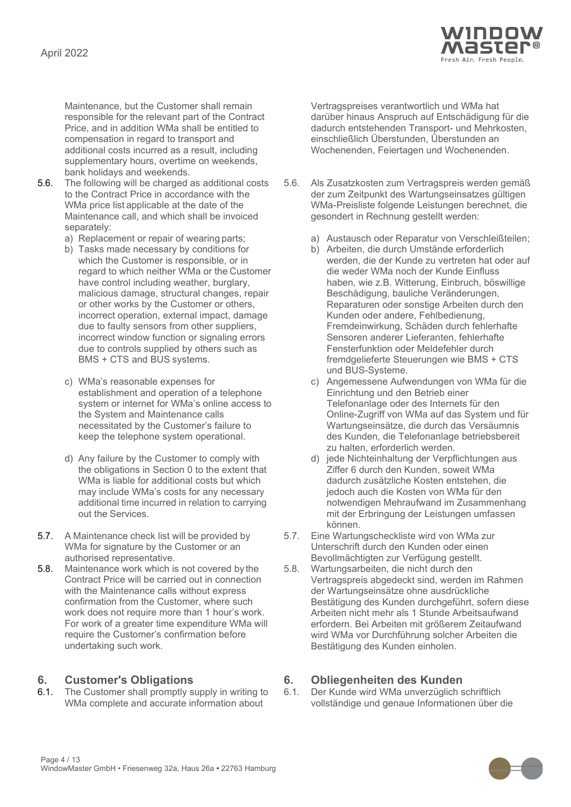

Maintenance, but the Customer shall remain responsible for the relevant part of the Contract Price, and in addition WMa shall be entitled to compensation in regard to transport and additional costs incurred as a result, including supplementary hours, overtime on weekends, bank holidays and weekends.

- 5.6. The following will be charged as additional costs to the Contract Price in accordance with the WMa price list applicable at the date of the Maintenance call, and which shall be invoiced separately:
	-
	- b) Tasks made necessary by conditions for which the Customer is responsible, or in regard to which neither WMa or the Customer have control including weather, burglary, malicious damage, structural changes, repair or other works by the Customer or others, incorrect operation, external impact, damage due to faulty sensors from other suppliers, incorrect window function or signaling errors due to controls supplied by others such as BMS + CTS and BUS systems.
	- c) WMa's reasonable expenses for establishment and operation of a telephone system or internet for WMa's online access to the System and Maintenance calls necessitated by the Customer's failure to keep the telephone system operational.
	- d) Any failure by the Customer to comply with the obligations in Section [0](#page-3-0) to the extent that WMa is liable for additional costs but which may include WMa's costs for any necessary additional time incurred in relation to carrying out the Services.
- 5.7. A Maintenance check list will be provided by WMa for signature by the Customer or an authorised representative.
- 5.8. Maintenance work which is not covered by the Contract Price will be carried out in connection with the Maintenance calls without express confirmation from the Customer, where such work does not require more than 1 hour's work. For work of a greater time expenditure WMa will require the Customer's confirmation before undertaking such work.

<span id="page-3-0"></span>**6. Customer's Obligations 6. Obliegenheiten des Kunden** The Customer shall promptly supply in writing to WMa complete and accurate information about

Vertragspreises verantwortlich und WMa hat darüber hinaus Anspruch auf Entschädigung für die dadurch entstehenden Transport- und Mehrkosten, einschließlich Überstunden, Überstunden an Wochenenden, Feiertagen und Wochenenden.

- 5.6. Als Zusatzkosten zum Vertragspreis werden gemäß der zum Zeitpunkt des Wartungseinsatzes gültigen WMa-Preisliste folgende Leistungen berechnet, die gesondert in Rechnung gestellt werden:
- a) Replacement or repair of wearing parts; and a) Austausch oder Reparatur von Verschleißteilen;
	- b) Arbeiten, die durch Umstände erforderlich werden, die der Kunde zu vertreten hat oder auf die weder WMa noch der Kunde Einfluss haben, wie z.B. Witterung, Einbruch, böswillige Beschädigung, bauliche Veränderungen, Reparaturen oder sonstige Arbeiten durch den Kunden oder andere, Fehlbedienung, Fremdeinwirkung, Schäden durch fehlerhafte Sensoren anderer Lieferanten, fehlerhafte Fensterfunktion oder Meldefehler durch fremdgelieferte Steuerungen wie BMS + CTS und BUS-Systeme.
	- c) Angemessene Aufwendungen von WMa für die Einrichtung und den Betrieb einer Telefonanlage oder des Internets für den Online-Zugriff von WMa auf das System und für Wartungseinsätze, die durch das Versäumnis des Kunden, die Telefonanlage betriebsbereit zu halten, erforderlich werden.
	- d) jede Nichteinhaltung der Verpflichtungen aus Ziffer 6 durch den Kunden, soweit WMa dadurch zusätzliche Kosten entstehen, die jedoch auch die Kosten von WMa für den notwendigen Mehraufwand im Zusammenhang mit der Erbringung der Leistungen umfassen können.
	- 5.7. Eine Wartungscheckliste wird von WMa zur Unterschrift durch den Kunden oder einen Bevollmächtigten zur Verfügung gestellt.
	- 5.8. Wartungsarbeiten, die nicht durch den Vertragspreis abgedeckt sind, werden im Rahmen der Wartungseinsätze ohne ausdrückliche Bestätigung des Kunden durchgeführt, sofern diese Arbeiten nicht mehr als 1 Stunde Arbeitsaufwand erfordern. Bei Arbeiten mit größerem Zeitaufwand wird WMa vor Durchführung solcher Arbeiten die Bestätigung des Kunden einholen.

6.1. Der Kunde wird WMa unverzüglich schriftlich vollständige und genaue Informationen über die

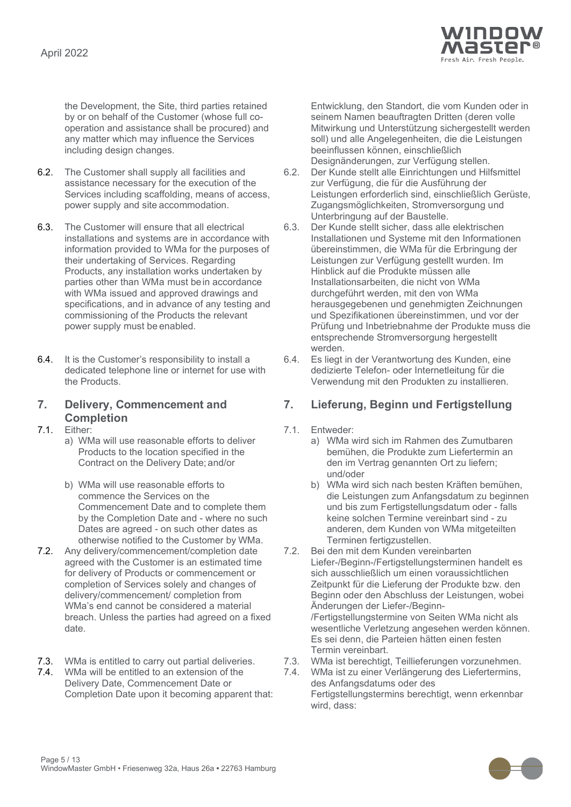

the Development, the Site, third parties retained by or on behalf of the Customer (whose full cooperation and assistance shall be procured) and any matter which may influence the Services including design changes.

- 6.2. The Customer shall supply all facilities and assistance necessary for the execution of the Services including scaffolding, means of access, power supply and site accommodation.
- 6.3. The Customer will ensure that all electrical installations and systems are in accordance with information provided to WMa for the purposes of their undertaking of Services. Regarding Products, any installation works undertaken by parties other than WMa must bein accordance with WMa issued and approved drawings and specifications, and in advance of any testing and commissioning of the Products the relevant power supply must be enabled.
- 6.4. It is the Customer's responsibility to install a dedicated telephone line or internet for use with the Products.

## **7. Delivery, Commencement and Completion**

- a) WMa will use reasonable efforts to deliver Products to the location specified in the Contract on the Delivery Date; and/or
- b) WMa will use reasonable efforts to commence the Services on the Commencement Date and to complete them by the Completion Date and - where no such Dates are agreed - on such other dates as otherwise notified to the Customer by WMa.
- 7.2. Any delivery/commencement/completion date agreed with the Customer is an estimated time for delivery of Products or commencement or completion of Services solely and changes of delivery/commencement/ completion from WMa's end cannot be considered a material breach. Unless the parties had agreed on a fixed date.
- <span id="page-4-0"></span>
- 7.4. WMa will be entitled to an extension of the Delivery Date, Commencement Date or Completion Date upon it becoming apparent that:

Entwicklung, den Standort, die vom Kunden oder in seinem Namen beauftragten Dritten (deren volle Mitwirkung und Unterstützung sichergestellt werden soll) und alle Angelegenheiten, die die Leistungen beeinflussen können, einschließlich Designänderungen, zur Verfügung stellen.

- 6.2. Der Kunde stellt alle Einrichtungen und Hilfsmittel zur Verfügung, die für die Ausführung der Leistungen erforderlich sind, einschließlich Gerüste, Zugangsmöglichkeiten, Stromversorgung und Unterbringung auf der Baustelle.
- 6.3. Der Kunde stellt sicher, dass alle elektrischen Installationen und Systeme mit den Informationen übereinstimmen, die WMa für die Erbringung der Leistungen zur Verfügung gestellt wurden. Im Hinblick auf die Produkte müssen alle Installationsarbeiten, die nicht von WMa durchgeführt werden, mit den von WMa herausgegebenen und genehmigten Zeichnungen und Spezifikationen übereinstimmen, und vor der Prüfung und Inbetriebnahme der Produkte muss die entsprechende Stromversorgung hergestellt werden.
- 6.4. Es liegt in der Verantwortung des Kunden, eine dedizierte Telefon- oder Internetleitung für die Verwendung mit den Produkten zu installieren.

### **7. Lieferung, Beginn und Fertigstellung**

- 7.1. Either: 7.1. Entweder:
	- a) WMa wird sich im Rahmen des Zumutbaren bemühen, die Produkte zum Liefertermin an den im Vertrag genannten Ort zu liefern; und/oder
	- b) WMa wird sich nach besten Kräften bemühen, die Leistungen zum Anfangsdatum zu beginnen und bis zum Fertigstellungsdatum oder - falls keine solchen Termine vereinbart sind - zu anderen, dem Kunden von WMa mitgeteilten Terminen fertigzustellen.
	- 7.2. Bei den mit dem Kunden vereinbarten Liefer-/Beginn-/Fertigstellungsterminen handelt es sich ausschließlich um einen voraussichtlichen Zeitpunkt für die Lieferung der Produkte bzw. den Beginn oder den Abschluss der Leistungen, wobei Änderungen der Liefer-/Beginn- /Fertigstellungstermine von Seiten WMa nicht als wesentliche Verletzung angesehen werden können. Es sei denn, die Parteien hätten einen festen Termin vereinbart.
- 7.3. WMa is entitled to carry out partial deliveries. 7.3. WMa ist berechtigt, Teillieferungen vorzunehmen.
	- 7.4. WMa ist zu einer Verlängerung des Liefertermins, des Anfangsdatums oder des Fertigstellungstermins berechtigt, wenn erkennbar wird, dass:

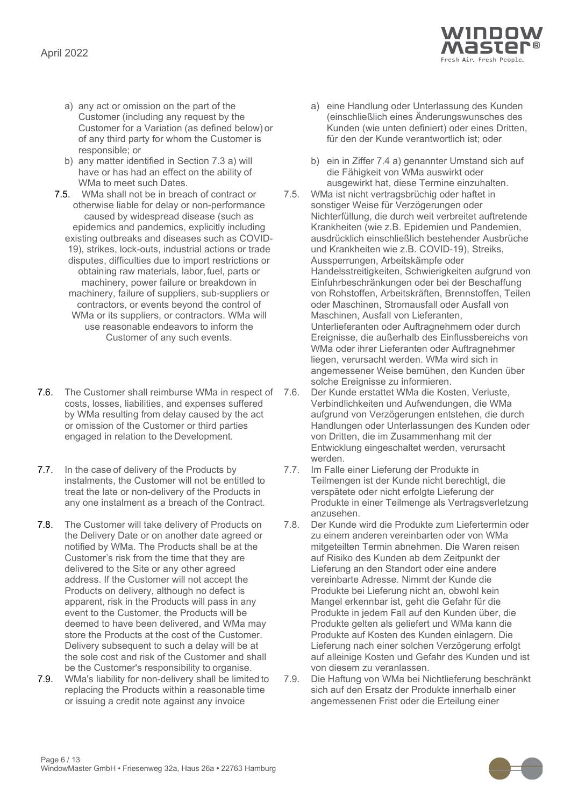

- <span id="page-5-0"></span>a) any act or omission on the part of the Customer (including any request by the Customer for a Variation (as defined below) or of any third party for whom the Customer is responsible; or
- b) any matter identified in Section [7.3](#page-4-0) [a\)](#page-5-0) will have or has had an effect on the ability of WMa to meet such Dates*.*
- 7.5. WMa shall not be in breach of contract or otherwise liable for delay or non-performance caused by widespread disease (such as epidemics and pandemics, explicitly including existing outbreaks and diseases such as COVID-19), strikes, lock-outs, industrial actions or trade disputes, difficulties due to import restrictions or obtaining raw materials, labor,fuel, parts or machinery, power failure or breakdown in machinery, failure of suppliers, sub-suppliers or contractors, or events beyond the control of WMa or its suppliers, or contractors. WMa will use reasonable endeavors to inform the Customer of any such events.
- 7.6. The Customer shall reimburse WMa in respect of 7.6. costs, losses, liabilities, and expenses suffered by WMa resulting from delay caused by the act or omission of the Customer or third parties engaged in relation to the Development.
- 7.7. In the case of delivery of the Products by instalments, the Customer will not be entitled to treat the late or non-delivery of the Products in any one instalment as a breach of the Contract.
- 7.8. The Customer will take delivery of Products on the Delivery Date or on another date agreed or notified by WMa. The Products shall be at the Customer's risk from the time that they are delivered to the Site or any other agreed address. If the Customer will not accept the Products on delivery, although no defect is apparent, risk in the Products will pass in any event to the Customer, the Products will be deemed to have been delivered, and WMa may store the Products at the cost of the Customer. Delivery subsequent to such a delay will be at the sole cost and risk of the Customer and shall be the Customer's responsibility to organise.
- 7.9. WMa's liability for non-delivery shall be limited to replacing the Products within a reasonable time or issuing a credit note against any invoice
- a) eine Handlung oder Unterlassung des Kunden (einschließlich eines Änderungswunsches des Kunden (wie unten definiert) oder eines Dritten, für den der Kunde verantwortlich ist; oder
- b) ein in Ziffer 7.4 a) genannter Umstand sich auf die Fähigkeit von WMa auswirkt oder ausgewirkt hat, diese Termine einzuhalten.
- 7.5. WMa ist nicht vertragsbrüchig oder haftet in sonstiger Weise für Verzögerungen oder Nichterfüllung, die durch weit verbreitet auftretende Krankheiten (wie z.B. Epidemien und Pandemien, ausdrücklich einschließlich bestehender Ausbrüche und Krankheiten wie z.B. COVID-19), Streiks, Aussperrungen, Arbeitskämpfe oder Handelsstreitigkeiten, Schwierigkeiten aufgrund von Einfuhrbeschränkungen oder bei der Beschaffung von Rohstoffen, Arbeitskräften, Brennstoffen, Teilen oder Maschinen, Stromausfall oder Ausfall von Maschinen, Ausfall von Lieferanten, Unterlieferanten oder Auftragnehmern oder durch Ereignisse, die außerhalb des Einflussbereichs von WMa oder ihrer Lieferanten oder Auftragnehmer liegen, verursacht werden. WMa wird sich in angemessener Weise bemühen, den Kunden über solche Ereignisse zu informieren.
- 7.6. Der Kunde erstattet WMa die Kosten, Verluste, Verbindlichkeiten und Aufwendungen, die WMa aufgrund von Verzögerungen entstehen, die durch Handlungen oder Unterlassungen des Kunden oder von Dritten, die im Zusammenhang mit der Entwicklung eingeschaltet werden, verursacht werden.
- 7.7. Im Falle einer Lieferung der Produkte in Teilmengen ist der Kunde nicht berechtigt, die verspätete oder nicht erfolgte Lieferung der Produkte in einer Teilmenge als Vertragsverletzung anzusehen.
- 7.8. Der Kunde wird die Produkte zum Liefertermin oder zu einem anderen vereinbarten oder von WMa mitgeteilten Termin abnehmen. Die Waren reisen auf Risiko des Kunden ab dem Zeitpunkt der Lieferung an den Standort oder eine andere vereinbarte Adresse. Nimmt der Kunde die Produkte bei Lieferung nicht an, obwohl kein Mangel erkennbar ist, geht die Gefahr für die Produkte in jedem Fall auf den Kunden über, die Produkte gelten als geliefert und WMa kann die Produkte auf Kosten des Kunden einlagern. Die Lieferung nach einer solchen Verzögerung erfolgt auf alleinige Kosten und Gefahr des Kunden und ist von diesem zu veranlassen.
- 7.9. Die Haftung von WMa bei Nichtlieferung beschränkt sich auf den Ersatz der Produkte innerhalb einer angemessenen Frist oder die Erteilung einer

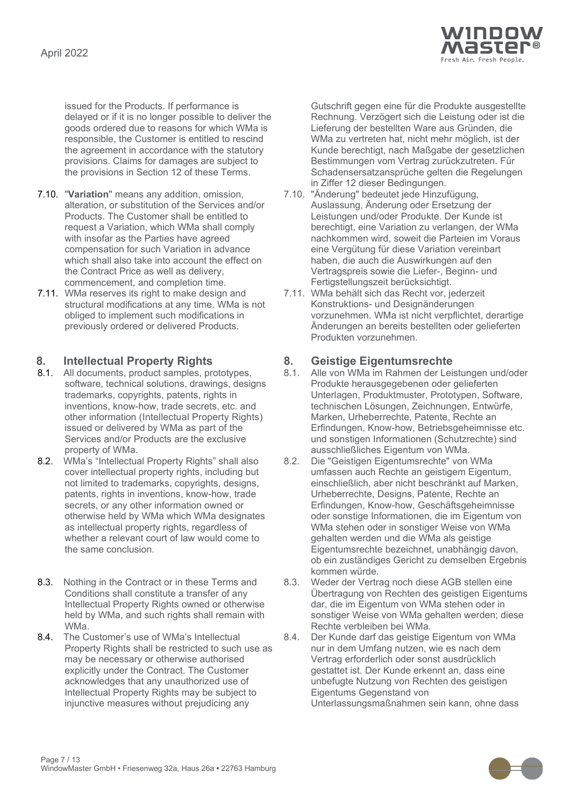

issued for the Products. If performance is delayed or if it is no longer possible to deliver the goods ordered due to reasons for which WMa is responsible, the Customer is entitled to rescind the agreement in accordance with the statutory provisions. Claims for damages are subject to the provisions in Section 12 of these Terms.

- 7.10. "**Variation**" means any addition, omission, alteration, or substitution of the Services and/or Products. The Customer shall be entitled to request a Variation, which WMa shall comply with insofar as the Parties have agreed compensation for such Variation in advance which shall also take into account the effect on the Contract Price as well as delivery, commencement, and completion time.
- 7.11. WMa reserves its right to make design and structural modifications at any time. WMa is not obliged to implement such modifications in previously ordered or delivered Products.

- <span id="page-6-0"></span>**8. Intellectual Property Rights 8. Geistige Eigentumsrechte** 8.1. All documents, product samples, prototypes, software, technical solutions, drawings, designs trademarks, copyrights, patents, rights in inventions, know-how, trade secrets, etc. and other information (Intellectual Property Rights) issued or delivered by WMa as part of the Services and/or Products are the exclusive property of WMa.
- <span id="page-6-1"></span>8.2. WMa's "Intellectual Property Rights" shall also cover intellectual property rights, including but not limited to trademarks, copyrights, designs, patents, rights in inventions, know-how, trade secrets, or any other information owned or otherwise held by WMa which WMa designates as intellectual property rights, regardless of whether a relevant court of law would come to the same conclusion.
- 8.3. Nothing in the Contract or in these Terms and Conditions shall constitute a transfer of any Intellectual Property Rights owned or otherwise held by WMa, and such rights shall remain with WMa.
- 8.4. The Customer's use of WMa's Intellectual Property Rights shall be restricted to such use as may be necessary or otherwise authorised explicitly under the Contract. The Customer acknowledges that any unauthorized use of Intellectual Property Rights may be subject to injunctive measures without prejudicing any

Gutschrift gegen eine für die Produkte ausgestellte Rechnung. Verzögert sich die Leistung oder ist die Lieferung der bestellten Ware aus Gründen, die WMa zu vertreten hat, nicht mehr möglich, ist der Kunde berechtigt, nach Maßgabe der gesetzlichen Bestimmungen vom Vertrag zurückzutreten. Für Schadensersatzansprüche gelten die Regelungen in Ziffer 12 dieser Bedingungen.

- 7.10. "Änderung" bedeutet jede Hinzufügung, Auslassung, Änderung oder Ersetzung der Leistungen und/oder Produkte. Der Kunde ist berechtigt, eine Variation zu verlangen, der WMa nachkommen wird, soweit die Parteien im Voraus eine Vergütung für diese Variation vereinbart haben, die auch die Auswirkungen auf den Vertragspreis sowie die Liefer-, Beginn- und Fertigstellungszeit berücksichtigt.
- 7.11. WMa behält sich das Recht vor, jederzeit Konstruktions- und Designänderungen vorzunehmen. WMa ist nicht verpflichtet, derartige Änderungen an bereits bestellten oder gelieferten Produkten vorzunehmen.

- Alle von WMa im Rahmen der Leistungen und/oder Produkte herausgegebenen oder gelieferten Unterlagen, Produktmuster, Prototypen, Software, technischen Lösungen, Zeichnungen, Entwürfe, Marken, Urheberrechte, Patente, Rechte an Erfindungen, Know-how, Betriebsgeheimnisse etc. und sonstigen Informationen (Schutzrechte) sind ausschließliches Eigentum von WMa.
- 8.2. Die "Geistigen Eigentumsrechte" von WMa umfassen auch Rechte an geistigem Eigentum, einschließlich, aber nicht beschränkt auf Marken, Urheberrechte, Designs, Patente, Rechte an Erfindungen, Know-how, Geschäftsgeheimnisse oder sonstige Informationen, die im Eigentum von WMa stehen oder in sonstiger Weise von WMa gehalten werden und die WMa als geistige Eigentumsrechte bezeichnet, unabhängig davon, ob ein zuständiges Gericht zu demselben Ergebnis kommen würde.
- 8.3. Weder der Vertrag noch diese AGB stellen eine Übertragung von Rechten des geistigen Eigentums dar, die im Eigentum von WMa stehen oder in sonstiger Weise von WMa gehalten werden; diese Rechte verbleiben bei WMa.
- 8.4. Der Kunde darf das geistige Eigentum von WMa nur in dem Umfang nutzen, wie es nach dem Vertrag erforderlich oder sonst ausdrücklich gestattet ist. Der Kunde erkennt an, dass eine unbefugte Nutzung von Rechten des geistigen Eigentums Gegenstand von Unterlassungsmaßnahmen sein kann, ohne dass

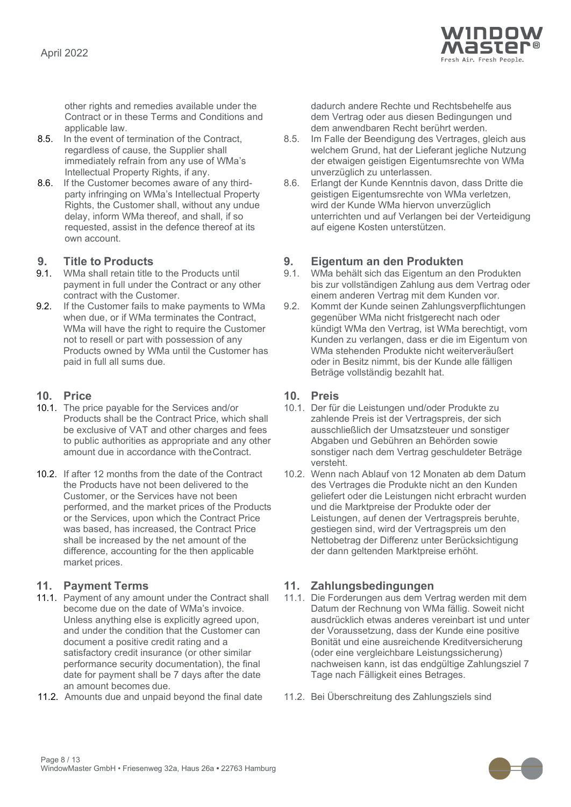

other rights and remedies available under the Contract or in these Terms and Conditions and applicable law.

- 8.5. In the event of termination of the Contract, regardless of cause, the Supplier shall immediately refrain from any use of WMa's Intellectual Property Rights, if any.
- 8.6. If the Customer becomes aware of any thirdparty infringing on WMa's Intellectual Property Rights, the Customer shall, without any undue delay, inform WMa thereof, and shall, if so requested, assist in the defence thereof at its own account.

- WMa shall retain title to the Products until payment in full under the Contract or any other contract with the Customer.
- 9.2. If the Customer fails to make payments to WMa when due, or if WMa terminates the Contract, WMa will have the right to require the Customer not to resell or part with possession of any Products owned by WMa until the Customer has paid in full all sums due.

- 10.1. The price payable for the Services and/or Products shall be the Contract Price, which shall be exclusive of VAT and other charges and fees to public authorities as appropriate and any other amount due in accordance with theContract.
- 10.2. If after 12 months from the date of the Contract the Products have not been delivered to the Customer, or the Services have not been performed, and the market prices of the Products or the Services, upon which the Contract Price was based, has increased, the Contract Price shall be increased by the net amount of the difference, accounting for the then applicable market prices.

- 11.1. Payment of any amount under the Contract shall become due on the date of WMa's invoice. Unless anything else is explicitly agreed upon, and under the condition that the Customer can document a positive credit rating and a satisfactory credit insurance (or other similar performance security documentation), the final date for payment shall be 7 days after the date an amount becomes due.
- 11.2. Amounts due and unpaid beyond the final date 11.2. Bei Überschreitung des Zahlungsziels sind

dadurch andere Rechte und Rechtsbehelfe aus dem Vertrag oder aus diesen Bedingungen und dem anwendbaren Recht berührt werden.

- 8.5. Im Falle der Beendigung des Vertrages, gleich aus welchem Grund, hat der Lieferant jegliche Nutzung der etwaigen geistigen Eigentumsrechte von WMa unverzüglich zu unterlassen.
- 8.6. Erlangt der Kunde Kenntnis davon, dass Dritte die geistigen Eigentumsrechte von WMa verletzen, wird der Kunde WMa hiervon unverzüglich unterrichten und auf Verlangen bei der Verteidigung auf eigene Kosten unterstützen.

## **9. Title to Products 9. Eigentum an den Produkten**

- 9.1. WMa behält sich das Eigentum an den Produkten bis zur vollständigen Zahlung aus dem Vertrag oder einem anderen Vertrag mit dem Kunden vor.
- 9.2. Kommt der Kunde seinen Zahlungsverpflichtungen gegenüber WMa nicht fristgerecht nach oder kündigt WMa den Vertrag, ist WMa berechtigt, vom Kunden zu verlangen, dass er die im Eigentum von WMa stehenden Produkte nicht weiterveräußert oder in Besitz nimmt, bis der Kunde alle fälligen Beträge vollständig bezahlt hat.

### **10. Price 10. Preis**

- 10.1. Der für die Leistungen und/oder Produkte zu zahlende Preis ist der Vertragspreis, der sich ausschließlich der Umsatzsteuer und sonstiger Abgaben und Gebühren an Behörden sowie sonstiger nach dem Vertrag geschuldeter Beträge versteht.
- 10.2. Wenn nach Ablauf von 12 Monaten ab dem Datum des Vertrages die Produkte nicht an den Kunden geliefert oder die Leistungen nicht erbracht wurden und die Marktpreise der Produkte oder der Leistungen, auf denen der Vertragspreis beruhte, gestiegen sind, wird der Vertragspreis um den Nettobetrag der Differenz unter Berücksichtigung der dann geltenden Marktpreise erhöht.

### **11. Payment Terms 11. Zahlungsbedingungen**

- 11.1. Die Forderungen aus dem Vertrag werden mit dem Datum der Rechnung von WMa fällig. Soweit nicht ausdrücklich etwas anderes vereinbart ist und unter der Voraussetzung, dass der Kunde eine positive Bonität und eine ausreichende Kreditversicherung (oder eine vergleichbare Leistungssicherung) nachweisen kann, ist das endgültige Zahlungsziel 7 Tage nach Fälligkeit eines Betrages.
- 

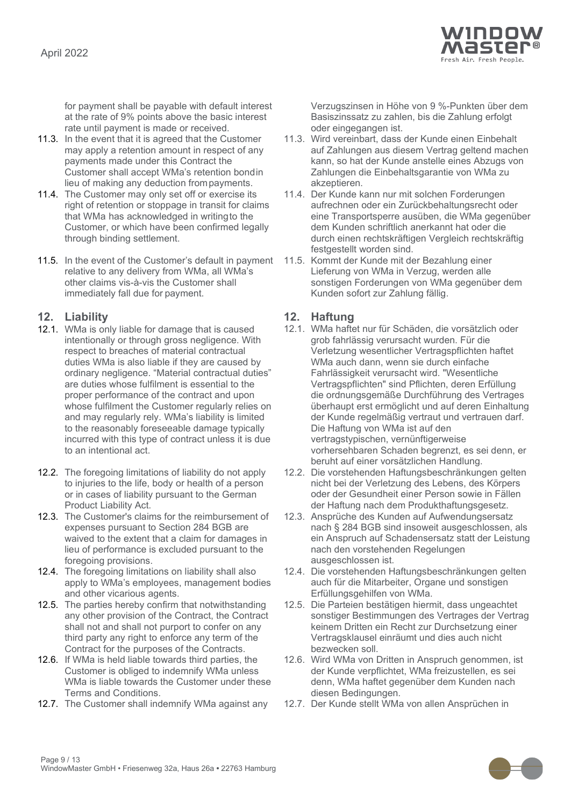

for payment shall be payable with default interest at the rate of 9% points above the basic interest rate until payment is made or received.

- 11.3. In the event that it is agreed that the Customer may apply a retention amount in respect of any payments made under this Contract the Customer shall accept WMa's retention bondin lieu of making any deduction frompayments.
- 11.4. The Customer may only set off or exercise its right of retention or stoppage in transit for claims that WMa has acknowledged in writingto the Customer, or which have been confirmed legally through binding settlement.
- 11.5. In the event of the Customer's default in payment relative to any delivery from WMa, all WMa's other claims vis-à-vis the Customer shall immediately fall due for payment.

### **12. Liability 12. Haftung**

- 12.1. WMa is only liable for damage that is caused intentionally or through gross negligence. With respect to breaches of material contractual duties WMa is also liable if they are caused by ordinary negligence. "Material contractual duties" are duties whose fulfilment is essential to the proper performance of the contract and upon whose fulfilment the Customer regularly relies on and may regularly rely. WMa's liability is limited to the reasonably foreseeable damage typically incurred with this type of contract unless it is due to an intentional act.
- 12.2. The foregoing limitations of liability do not apply to injuries to the life, body or health of a person or in cases of liability pursuant to the German Product Liability Act.
- 12.3. The Customer's claims for the reimbursement of expenses pursuant to Section 284 BGB are waived to the extent that a claim for damages in lieu of performance is excluded pursuant to the foregoing provisions.
- 12.4. The foregoing limitations on liability shall also apply to WMa's employees, management bodies and other vicarious agents.
- 12.5. The parties hereby confirm that notwithstanding any other provision of the Contract, the Contract shall not and shall not purport to confer on any third party any right to enforce any term of the Contract for the purposes of the Contracts.
- 12.6. If WMa is held liable towards third parties, the Customer is obliged to indemnify WMa unless WMa is liable towards the Customer under these Terms and Conditions.
- 12.7. The Customer shall indemnify WMa against any 12.7. Der Kunde stellt WMa von allen Ansprüchen in

Verzugszinsen in Höhe von 9 %-Punkten über dem Basiszinssatz zu zahlen, bis die Zahlung erfolgt oder eingegangen ist.

- 11.3. Wird vereinbart, dass der Kunde einen Einbehalt auf Zahlungen aus diesem Vertrag geltend machen kann, so hat der Kunde anstelle eines Abzugs von Zahlungen die Einbehaltsgarantie von WMa zu akzeptieren.
- 11.4. Der Kunde kann nur mit solchen Forderungen aufrechnen oder ein Zurückbehaltungsrecht oder eine Transportsperre ausüben, die WMa gegenüber dem Kunden schriftlich anerkannt hat oder die durch einen rechtskräftigen Vergleich rechtskräftig festgestellt worden sind.
- 11.5. Kommt der Kunde mit der Bezahlung einer Lieferung von WMa in Verzug, werden alle sonstigen Forderungen von WMa gegenüber dem Kunden sofort zur Zahlung fällig.

- 12.1. WMa haftet nur für Schäden, die vorsätzlich oder grob fahrlässig verursacht wurden. Für die Verletzung wesentlicher Vertragspflichten haftet WMa auch dann, wenn sie durch einfache Fahrlässigkeit verursacht wird. "Wesentliche Vertragspflichten" sind Pflichten, deren Erfüllung die ordnungsgemäße Durchführung des Vertrages überhaupt erst ermöglicht und auf deren Einhaltung der Kunde regelmäßig vertraut und vertrauen darf. Die Haftung von WMa ist auf den vertragstypischen, vernünftigerweise vorhersehbaren Schaden begrenzt, es sei denn, er beruht auf einer vorsätzlichen Handlung.
- 12.2. Die vorstehenden Haftungsbeschränkungen gelten nicht bei der Verletzung des Lebens, des Körpers oder der Gesundheit einer Person sowie in Fällen der Haftung nach dem Produkthaftungsgesetz.
- 12.3. Ansprüche des Kunden auf Aufwendungsersatz nach § 284 BGB sind insoweit ausgeschlossen, als ein Anspruch auf Schadensersatz statt der Leistung nach den vorstehenden Regelungen ausgeschlossen ist.
- 12.4. Die vorstehenden Haftungsbeschränkungen gelten auch für die Mitarbeiter, Organe und sonstigen Erfüllungsgehilfen von WMa.
- 12.5. Die Parteien bestätigen hiermit, dass ungeachtet sonstiger Bestimmungen des Vertrages der Vertrag keinem Dritten ein Recht zur Durchsetzung einer Vertragsklausel einräumt und dies auch nicht bezwecken soll.
- 12.6. Wird WMa von Dritten in Anspruch genommen, ist der Kunde verpflichtet, WMa freizustellen, es sei denn, WMa haftet gegenüber dem Kunden nach diesen Bedingungen.
- 

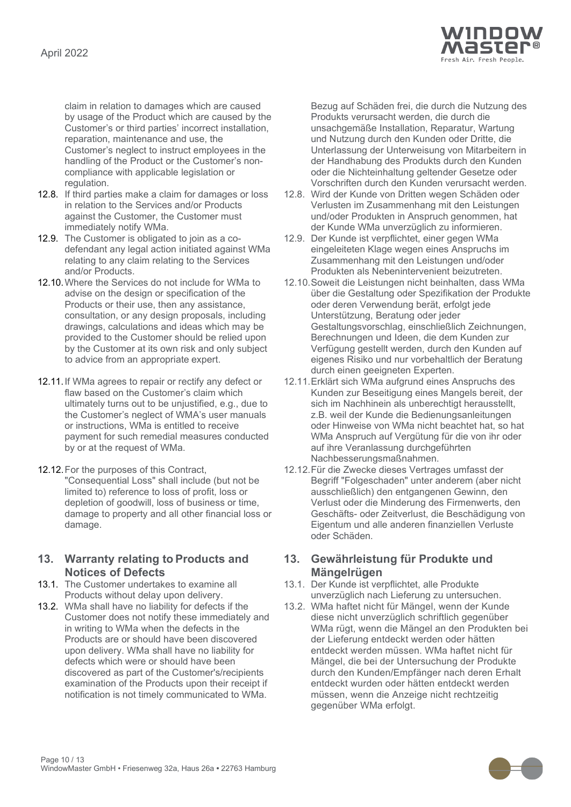

claim in relation to damages which are caused by usage of the Product which are caused by the Customer's or third parties' incorrect installation, reparation, maintenance and use, the Customer's neglect to instruct employees in the handling of the Product or the Customer's noncompliance with applicable legislation or regulation.

- 12.8. If third parties make a claim for damages or loss in relation to the Services and/or Products against the Customer, the Customer must immediately notify WMa.
- 12.9. The Customer is obligated to join as a codefendant any legal action initiated against WMa relating to any claim relating to the Services and/or Products.
- 12.10.Where the Services do not include for WMa to advise on the design or specification of the Products or their use, then any assistance, consultation, or any design proposals, including drawings, calculations and ideas which may be provided to the Customer should be relied upon by the Customer at its own risk and only subject to advice from an appropriate expert.
- 12.11.If WMa agrees to repair or rectify any defect or flaw based on the Customer's claim which ultimately turns out to be unjustified, e.g., due to the Customer's neglect of WMA's user manuals or instructions, WMa is entitled to receive payment for such remedial measures conducted by or at the request of WMa.
- 12.12.For the purposes of this Contract, "Consequential Loss" shall include (but not be limited to) reference to loss of profit, loss or depletion of goodwill, loss of business or time, damage to property and all other financial loss or damage.

### **13. Warranty relating to Products and Notices of Defects**

- <span id="page-9-0"></span>13.1. The Customer undertakes to examine all Products without delay upon delivery.
- <span id="page-9-1"></span>13.2. WMa shall have no liability for defects if the Customer does not notify these immediately and in writing to WMa when the defects in the Products are or should have been discovered upon delivery. WMa shall have no liability for defects which were or should have been discovered as part of the Customer's/recipients examination of the Products upon their receipt if notification is not timely communicated to WMa.

Bezug auf Schäden frei, die durch die Nutzung des Produkts verursacht werden, die durch die unsachgemäße Installation, Reparatur, Wartung und Nutzung durch den Kunden oder Dritte, die Unterlassung der Unterweisung von Mitarbeitern in der Handhabung des Produkts durch den Kunden oder die Nichteinhaltung geltender Gesetze oder Vorschriften durch den Kunden verursacht werden.

- 12.8. Wird der Kunde von Dritten wegen Schäden oder Verlusten im Zusammenhang mit den Leistungen und/oder Produkten in Anspruch genommen, hat der Kunde WMa unverzüglich zu informieren.
- 12.9. Der Kunde ist verpflichtet, einer gegen WMa eingeleiteten Klage wegen eines Anspruchs im Zusammenhang mit den Leistungen und/oder Produkten als Nebenintervenient beizutreten.
- 12.10.Soweit die Leistungen nicht beinhalten, dass WMa über die Gestaltung oder Spezifikation der Produkte oder deren Verwendung berät, erfolgt jede Unterstützung, Beratung oder jeder Gestaltungsvorschlag, einschließlich Zeichnungen, Berechnungen und Ideen, die dem Kunden zur Verfügung gestellt werden, durch den Kunden auf eigenes Risiko und nur vorbehaltlich der Beratung durch einen geeigneten Experten.
- 12.11.Erklärt sich WMa aufgrund eines Anspruchs des Kunden zur Beseitigung eines Mangels bereit, der sich im Nachhinein als unberechtigt herausstellt, z.B. weil der Kunde die Bedienungsanleitungen oder Hinweise von WMa nicht beachtet hat, so hat WMa Anspruch auf Vergütung für die von ihr oder auf ihre Veranlassung durchgeführten Nachbesserungsmaßnahmen.
- 12.12.Für die Zwecke dieses Vertrages umfasst der Begriff "Folgeschaden" unter anderem (aber nicht ausschließlich) den entgangenen Gewinn, den Verlust oder die Minderung des Firmenwerts, den Geschäfts- oder Zeitverlust, die Beschädigung von Eigentum und alle anderen finanziellen Verluste oder Schäden.

### **13. Gewährleistung für Produkte und Mängelrügen**

- 13.1. Der Kunde ist verpflichtet, alle Produkte unverzüglich nach Lieferung zu untersuchen.
- 13.2. WMa haftet nicht für Mängel, wenn der Kunde diese nicht unverzüglich schriftlich gegenüber WMa rügt, wenn die Mängel an den Produkten bei der Lieferung entdeckt werden oder hätten entdeckt werden müssen. WMa haftet nicht für Mängel, die bei der Untersuchung der Produkte durch den Kunden/Empfänger nach deren Erhalt entdeckt wurden oder hätten entdeckt werden müssen, wenn die Anzeige nicht rechtzeitig gegenüber WMa erfolgt.

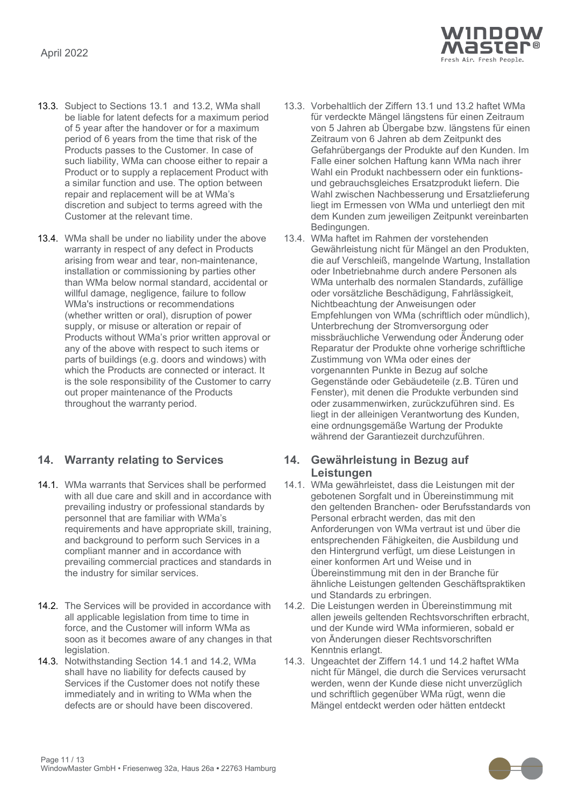

- 13.3. Subject to Sections [13.1](#page-9-0) and [13.2,](#page-9-1) WMa shall be liable for latent defects for a maximum period of 5 year after the handover or for a maximum period of 6 years from the time that risk of the Products passes to the Customer. In case of such liability, WMa can choose either to repair a Product or to supply a replacement Product with a similar function and use. The option between repair and replacement will be at WMa's discretion and subject to terms agreed with the Customer at the relevant time.
- 13.4. WMa shall be under no liability under the above warranty in respect of any defect in Products arising from wear and tear, non-maintenance, installation or commissioning by parties other than WMa below normal standard, accidental or willful damage, negligence, failure to follow WMa's instructions or recommendations (whether written or oral), disruption of power supply, or misuse or alteration or repair of Products without WMa's prior written approval or any of the above with respect to such items or parts of buildings (e.g. doors and windows) with which the Products are connected or interact. It is the sole responsibility of the Customer to carry out proper maintenance of the Products throughout the warranty period.

### **14. Warranty relating to Services 14. Gewährleistung in Bezug auf**

- <span id="page-10-0"></span>14.1. WMa warrants that Services shall be performed with all due care and skill and in accordance with prevailing industry or professional standards by personnel that are familiar with WMa's requirements and have appropriate skill, training, and background to perform such Services in a compliant manner and in accordance with prevailing commercial practices and standards in the industry for similar services.
- <span id="page-10-1"></span>14.2. The Services will be provided in accordance with all applicable legislation from time to time in force, and the Customer will inform WMa as soon as it becomes aware of any changes in that legislation.
- 14.3. Notwithstanding Section [14.1](#page-10-0) and [14.2,](#page-10-1) WMa shall have no liability for defects caused by Services if the Customer does not notify these immediately and in writing to WMa when the defects are or should have been discovered.
- 13.3. Vorbehaltlich der Ziffern 13.1 und 13.2 haftet WMa für verdeckte Mängel längstens für einen Zeitraum von 5 Jahren ab Übergabe bzw. längstens für einen Zeitraum von 6 Jahren ab dem Zeitpunkt des Gefahrübergangs der Produkte auf den Kunden. Im Falle einer solchen Haftung kann WMa nach ihrer Wahl ein Produkt nachbessern oder ein funktionsund gebrauchsgleiches Ersatzprodukt liefern. Die Wahl zwischen Nachbesserung und Ersatzlieferung liegt im Ermessen von WMa und unterliegt den mit dem Kunden zum jeweiligen Zeitpunkt vereinbarten Bedingungen.
- 13.4. WMa haftet im Rahmen der vorstehenden Gewährleistung nicht für Mängel an den Produkten, die auf Verschleiß, mangelnde Wartung, Installation oder Inbetriebnahme durch andere Personen als WMa unterhalb des normalen Standards, zufällige oder vorsätzliche Beschädigung, Fahrlässigkeit, Nichtbeachtung der Anweisungen oder Empfehlungen von WMa (schriftlich oder mündlich), Unterbrechung der Stromversorgung oder missbräuchliche Verwendung oder Änderung oder Reparatur der Produkte ohne vorherige schriftliche Zustimmung von WMa oder eines der vorgenannten Punkte in Bezug auf solche Gegenstände oder Gebäudeteile (z.B. Türen und Fenster), mit denen die Produkte verbunden sind oder zusammenwirken, zurückzuführen sind. Es liegt in der alleinigen Verantwortung des Kunden, eine ordnungsgemäße Wartung der Produkte während der Garantiezeit durchzuführen.

# **Leistungen**

- 14.1. WMa gewährleistet, dass die Leistungen mit der gebotenen Sorgfalt und in Übereinstimmung mit den geltenden Branchen- oder Berufsstandards von Personal erbracht werden, das mit den Anforderungen von WMa vertraut ist und über die entsprechenden Fähigkeiten, die Ausbildung und den Hintergrund verfügt, um diese Leistungen in einer konformen Art und Weise und in Übereinstimmung mit den in der Branche für ähnliche Leistungen geltenden Geschäftspraktiken und Standards zu erbringen.
- 14.2. Die Leistungen werden in Übereinstimmung mit allen jeweils geltenden Rechtsvorschriften erbracht, und der Kunde wird WMa informieren, sobald er von Änderungen dieser Rechtsvorschriften Kenntnis erlangt.
- 14.3. Ungeachtet der Ziffern 14.1 und 14.2 haftet WMa nicht für Mängel, die durch die Services verursacht werden, wenn der Kunde diese nicht unverzüglich und schriftlich gegenüber WMa rügt, wenn die Mängel entdeckt werden oder hätten entdeckt

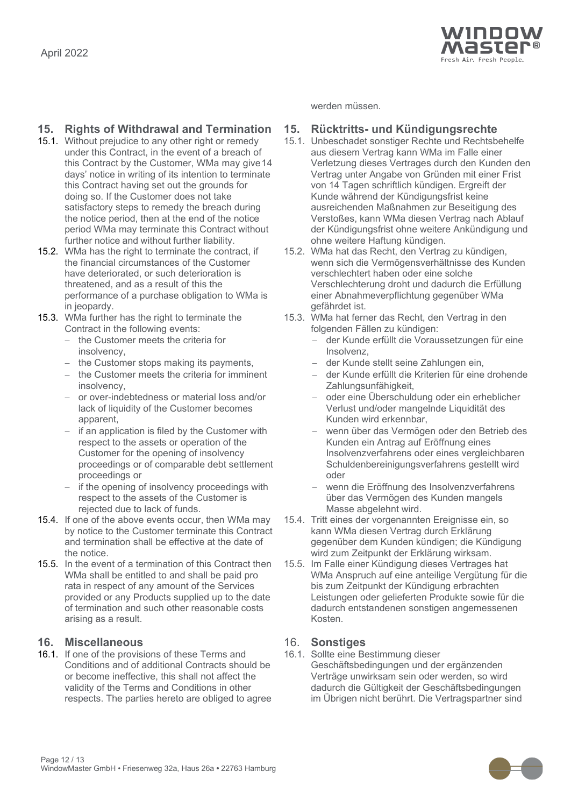

### **15. Rights of Withdrawal and Termination 15. Rücktritts- und Kündigungsrechte**

- 15.1. Without prejudice to any other right or remedy under this Contract, in the event of a breach of this Contract by the Customer, WMa may give14 days' notice in writing of its intention to terminate this Contract having set out the grounds for doing so. If the Customer does not take satisfactory steps to remedy the breach during the notice period, then at the end of the notice period WMa may terminate this Contract without further notice and without further liability.
- 15.2. WMa has the right to terminate the contract, if the financial circumstances of the Customer have deteriorated, or such deterioration is threatened, and as a result of this the performance of a purchase obligation to WMa is in jeopardy.
- 15.3. WMa further has the right to terminate the Contract in the following events:
	- − the Customer meets the criteria for insolvency,
	- − the Customer stops making its payments,  $-$  der Kunde stellt seine Zahlungen ein,
	- the Customer meets the criteria for imminent insolvency,
	- − or over-indebtedness or material loss and/or lack of liquidity of the Customer becomes apparent,
	- − if an application is filed by the Customer with respect to the assets or operation of the Customer for the opening of insolvency proceedings or of comparable debt settlement proceedings or
	- if the opening of insolvency proceedings with respect to the assets of the Customer is rejected due to lack of funds.
- 15.4. If one of the above events occur, then WMa may by notice to the Customer terminate this Contract and termination shall be effective at the date of the notice.
- 15.5. In the event of a termination of this Contract then WMa shall be entitled to and shall be paid pro rata in respect of any amount of the Services provided or any Products supplied up to the date of termination and such other reasonable costs arising as a result.

### **16. Miscellaneous** 16. **Sonstiges**

16.1. If one of the provisions of these Terms and Conditions and of additional Contracts should be or become ineffective, this shall not affect the validity of the Terms and Conditions in other respects. The parties hereto are obliged to agree werden müssen.

- 15.1. Unbeschadet sonstiger Rechte und Rechtsbehelfe aus diesem Vertrag kann WMa im Falle einer Verletzung dieses Vertrages durch den Kunden den Vertrag unter Angabe von Gründen mit einer Frist von 14 Tagen schriftlich kündigen. Ergreift der Kunde während der Kündigungsfrist keine ausreichenden Maßnahmen zur Beseitigung des Verstoßes, kann WMa diesen Vertrag nach Ablauf der Kündigungsfrist ohne weitere Ankündigung und ohne weitere Haftung kündigen.
- 15.2. WMa hat das Recht, den Vertrag zu kündigen, wenn sich die Vermögensverhältnisse des Kunden verschlechtert haben oder eine solche Verschlechterung droht und dadurch die Erfüllung einer Abnahmeverpflichtung gegenüber WMa gefährdet ist.
- 15.3. WMa hat ferner das Recht, den Vertrag in den folgenden Fällen zu kündigen:
	- − der Kunde erfüllt die Voraussetzungen für eine Insolvenz,
	-
	- − der Kunde erfüllt die Kriterien für eine drohende Zahlungsunfähigkeit,
	- − oder eine Überschuldung oder ein erheblicher Verlust und/oder mangelnde Liquidität des Kunden wird erkennbar,
	- − wenn über das Vermögen oder den Betrieb des Kunden ein Antrag auf Eröffnung eines Insolvenzverfahrens oder eines vergleichbaren Schuldenbereinigungsverfahrens gestellt wird oder
	- wenn die Eröffnung des Insolvenzverfahrens über das Vermögen des Kunden mangels Masse abgelehnt wird.
- 15.4. Tritt eines der vorgenannten Ereignisse ein, so kann WMa diesen Vertrag durch Erklärung gegenüber dem Kunden kündigen; die Kündigung wird zum Zeitpunkt der Erklärung wirksam.
- 15.5. Im Falle einer Kündigung dieses Vertrages hat WMa Anspruch auf eine anteilige Vergütung für die bis zum Zeitpunkt der Kündigung erbrachten Leistungen oder gelieferten Produkte sowie für die dadurch entstandenen sonstigen angemessenen Kosten.

16.1. Sollte eine Bestimmung dieser Geschäftsbedingungen und der ergänzenden Verträge unwirksam sein oder werden, so wird dadurch die Gültigkeit der Geschäftsbedingungen im Übrigen nicht berührt. Die Vertragspartner sind